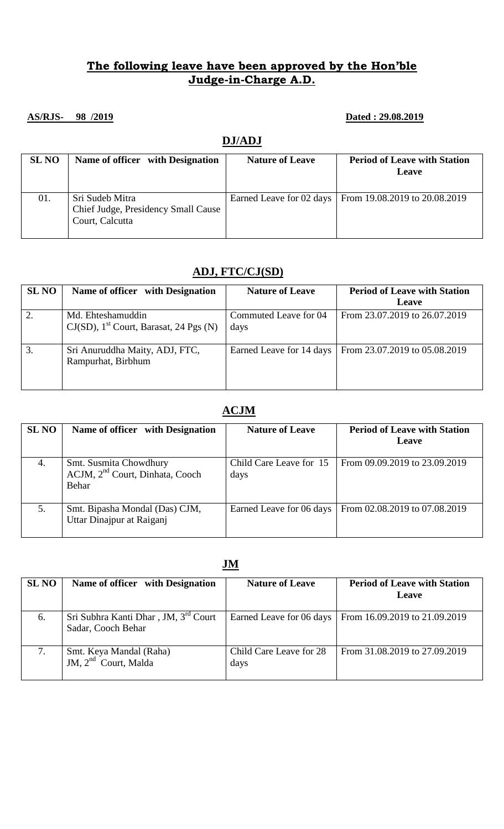## **The following leave have been approved by the Hon'ble Judge-in-Charge A.D.**

#### **AS/RJS- 98 /2019 Dated : 29.08.2019**

#### **DJ/ADJ**

| <b>SL NO</b> | Name of officer with Designation                                          | <b>Nature of Leave</b> | <b>Period of Leave with Station</b><br>Leave             |
|--------------|---------------------------------------------------------------------------|------------------------|----------------------------------------------------------|
| 01.          | Sri Sudeb Mitra<br>Chief Judge, Presidency Small Cause<br>Court, Calcutta |                        | Earned Leave for 02 days   From 19.08.2019 to 20.08.2019 |

### **ADJ, FTC/CJ(SD)**

| <b>SL NO</b> | Name of officer with Designation                                           | <b>Nature of Leave</b>        | <b>Period of Leave with Station</b><br><b>Leave</b> |
|--------------|----------------------------------------------------------------------------|-------------------------------|-----------------------------------------------------|
| 2.           | Md. Ehteshamuddin<br>$CJ(SD)$ , 1 <sup>st</sup> Court, Barasat, 24 Pgs (N) | Commuted Leave for 04<br>days | From 23.07.2019 to 26.07.2019                       |
| 3.           | Sri Anuruddha Maity, ADJ, FTC,<br>Rampurhat, Birbhum                       | Earned Leave for 14 days      | From 23.07.2019 to 05.08.2019                       |

## **ACJM**

| <b>SL NO</b> | Name of officer with Designation                                               | <b>Nature of Leave</b>          | <b>Period of Leave with Station</b><br><b>Leave</b> |
|--------------|--------------------------------------------------------------------------------|---------------------------------|-----------------------------------------------------|
| 4.           | Smt. Susmita Chowdhury<br>ACJM, 2 <sup>nd</sup> Court, Dinhata, Cooch<br>Behar | Child Care Leave for 15<br>days | From 09.09.2019 to 23.09.2019                       |
| 5.           | Smt. Bipasha Mondal (Das) CJM,<br>Uttar Dinajpur at Raiganj                    | Earned Leave for 06 days        | From 02.08.2019 to 07.08.2019                       |

| JM           |                                                            |                                 |                                                     |  |
|--------------|------------------------------------------------------------|---------------------------------|-----------------------------------------------------|--|
| <b>SL NO</b> | Name of officer with Designation                           | <b>Nature of Leave</b>          | <b>Period of Leave with Station</b><br><b>Leave</b> |  |
| 6.           | Sri Subhra Kanti Dhar, JM, 3rd Court<br>Sadar, Cooch Behar | Earned Leave for 06 days        | From 16.09.2019 to 21.09.2019                       |  |
| 7.           | Smt. Keya Mandal (Raha)<br>JM, $2nd$ Court, Malda          | Child Care Leave for 28<br>days | From 31.08.2019 to 27.09.2019                       |  |

#### **JM**